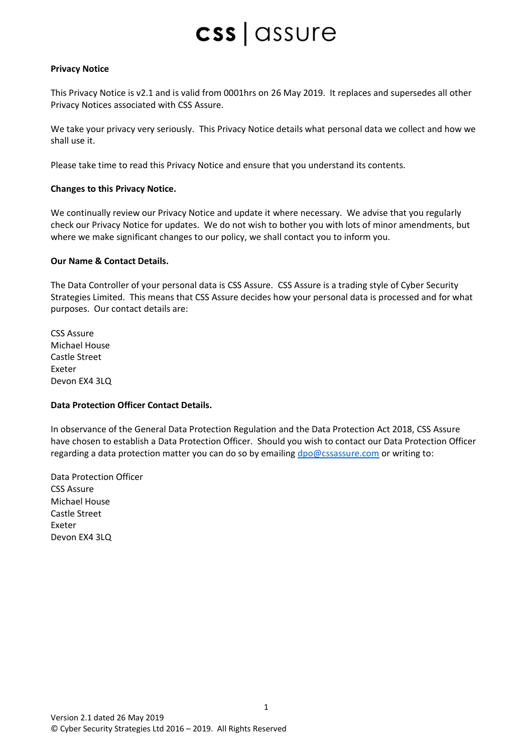### **Privacy Notice**

This Privacy Notice is v2.1 and is valid from 0001hrs on 26 May 2019. It replaces and supersedes all other Privacy Notices associated with CSS Assure.

We take your privacy very seriously. This Privacy Notice details what personal data we collect and how we shall use it.

Please take time to read this Privacy Notice and ensure that you understand its contents.

### **Changes to this Privacy Notice.**

We continually review our Privacy Notice and update it where necessary. We advise that you regularly check our Privacy Notice for updates. We do not wish to bother you with lots of minor amendments, but where we make significant changes to our policy, we shall contact you to inform you.

### **Our Name & Contact Details.**

The Data Controller of your personal data is CSS Assure. CSS Assure is a trading style of Cyber Security Strategies Limited. This means that CSS Assure decides how your personal data is processed and for what purposes. Our contact details are:

CSS Assure Michael House Castle Street Exeter Devon EX4 3LQ

### **Data Protection Officer Contact Details.**

In observance of the General Data Protection Regulation and the Data Protection Act 2018, CSS Assure have chosen to establish a Data Protection Officer. Should you wish to contact our Data Protection Officer regarding a data protection matter you can do so by emailing [dpo@cssassure.com](mailto:dpo@cssassure.com) or writing to:

1

Data Protection Officer CSS Assure Michael House Castle Street Exeter Devon EX4 3LQ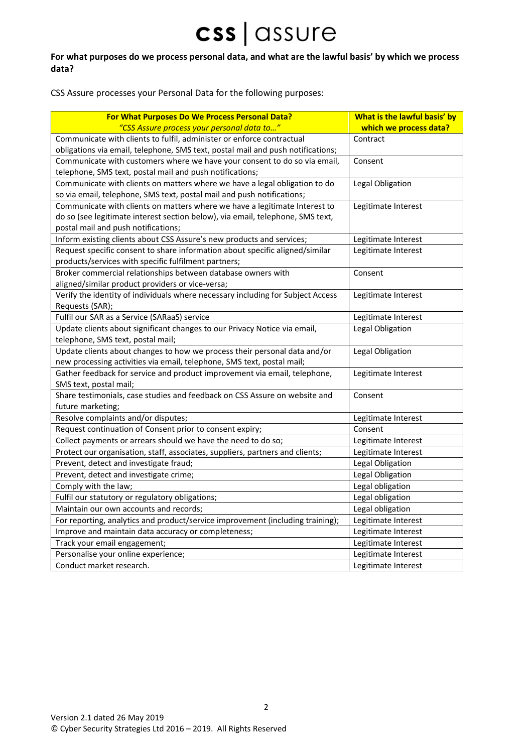### **For what purposes do we process personal data, and what are the lawful basis' by which we process data?**

CSS Assure processes your Personal Data for the following purposes:

| For What Purposes Do We Process Personal Data?                                  | What is the lawful basis' by |
|---------------------------------------------------------------------------------|------------------------------|
| "CSS Assure process your personal data to"                                      | which we process data?       |
| Communicate with clients to fulfil, administer or enforce contractual           | Contract                     |
| obligations via email, telephone, SMS text, postal mail and push notifications; |                              |
| Communicate with customers where we have your consent to do so via email,       | Consent                      |
| telephone, SMS text, postal mail and push notifications;                        |                              |
| Communicate with clients on matters where we have a legal obligation to do      | Legal Obligation             |
| so via email, telephone, SMS text, postal mail and push notifications;          |                              |
| Communicate with clients on matters where we have a legitimate Interest to      | Legitimate Interest          |
| do so (see legitimate interest section below), via email, telephone, SMS text,  |                              |
| postal mail and push notifications;                                             |                              |
| Inform existing clients about CSS Assure's new products and services;           | Legitimate Interest          |
| Request specific consent to share information about specific aligned/similar    | Legitimate Interest          |
| products/services with specific fulfilment partners;                            |                              |
| Broker commercial relationships between database owners with                    | Consent                      |
| aligned/similar product providers or vice-versa;                                |                              |
| Verify the identity of individuals where necessary including for Subject Access | Legitimate Interest          |
| Requests (SAR);                                                                 |                              |
| Fulfil our SAR as a Service (SARaaS) service                                    | Legitimate Interest          |
| Update clients about significant changes to our Privacy Notice via email,       | Legal Obligation             |
| telephone, SMS text, postal mail;                                               |                              |
| Update clients about changes to how we process their personal data and/or       | Legal Obligation             |
| new processing activities via email, telephone, SMS text, postal mail;          |                              |
| Gather feedback for service and product improvement via email, telephone,       | Legitimate Interest          |
| SMS text, postal mail;                                                          |                              |
| Share testimonials, case studies and feedback on CSS Assure on website and      | Consent                      |
| future marketing;                                                               |                              |
| Resolve complaints and/or disputes;                                             | Legitimate Interest          |
| Request continuation of Consent prior to consent expiry;                        | Consent                      |
| Collect payments or arrears should we have the need to do so;                   | Legitimate Interest          |
| Protect our organisation, staff, associates, suppliers, partners and clients;   | Legitimate Interest          |
| Prevent, detect and investigate fraud;                                          | Legal Obligation             |
| Prevent, detect and investigate crime;                                          | Legal Obligation             |
| Comply with the law;                                                            | Legal obligation             |
| Fulfil our statutory or regulatory obligations;                                 | Legal obligation             |
| Maintain our own accounts and records;                                          | Legal obligation             |
| For reporting, analytics and product/service improvement (including training);  | Legitimate Interest          |
| Improve and maintain data accuracy or completeness;                             | Legitimate Interest          |
| Track your email engagement;                                                    | Legitimate Interest          |
| Personalise your online experience;                                             | Legitimate Interest          |
| Conduct market research.                                                        | Legitimate Interest          |

2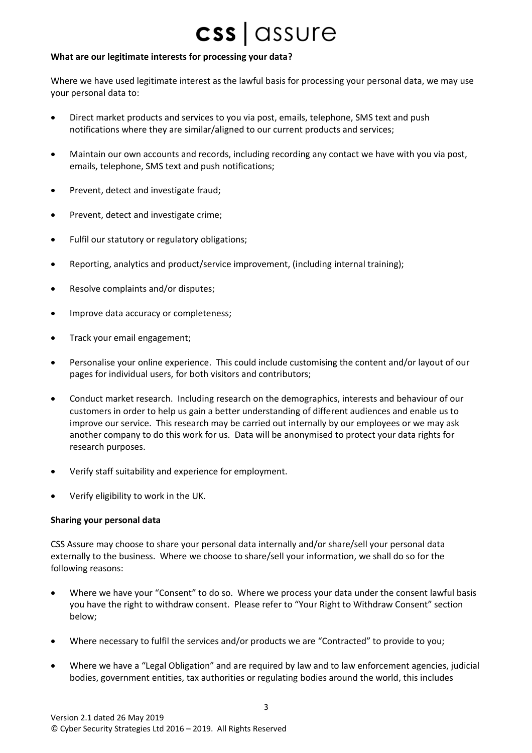### **What are our legitimate interests for processing your data?**

Where we have used legitimate interest as the lawful basis for processing your personal data, we may use your personal data to:

- Direct market products and services to you via post, emails, telephone, SMS text and push notifications where they are similar/aligned to our current products and services;
- Maintain our own accounts and records, including recording any contact we have with you via post, emails, telephone, SMS text and push notifications;
- Prevent, detect and investigate fraud;
- Prevent, detect and investigate crime;
- Fulfil our statutory or regulatory obligations;
- Reporting, analytics and product/service improvement, (including internal training);
- Resolve complaints and/or disputes;
- Improve data accuracy or completeness;
- Track your email engagement;
- Personalise your online experience. This could include customising the content and/or layout of our pages for individual users, for both visitors and contributors;
- Conduct market research. Including research on the demographics, interests and behaviour of our customers in order to help us gain a better understanding of different audiences and enable us to improve our service. This research may be carried out internally by our employees or we may ask another company to do this work for us. Data will be anonymised to protect your data rights for research purposes.
- Verify staff suitability and experience for employment.
- Verify eligibility to work in the UK.

### **Sharing your personal data**

CSS Assure may choose to share your personal data internally and/or share/sell your personal data externally to the business. Where we choose to share/sell your information, we shall do so for the following reasons:

- Where we have your "Consent" to do so. Where we process your data under the consent lawful basis you have the right to withdraw consent. Please refer to "Your Right to Withdraw Consent" section below;
- Where necessary to fulfil the services and/or products we are "Contracted" to provide to you;
- Where we have a "Legal Obligation" and are required by law and to law enforcement agencies, judicial bodies, government entities, tax authorities or regulating bodies around the world, this includes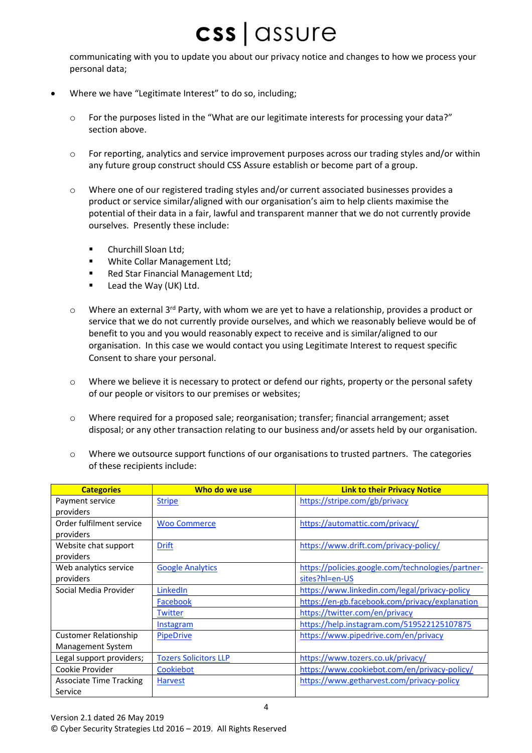communicating with you to update you about our privacy notice and changes to how we process your personal data;

- Where we have "Legitimate Interest" to do so, including;
	- o For the purposes listed in the "What are our legitimate interests for processing your data?" section above.
	- $\circ$  For reporting, analytics and service improvement purposes across our trading styles and/or within any future group construct should CSS Assure establish or become part of a group.
	- o Where one of our registered trading styles and/or current associated businesses provides a product or service similar/aligned with our organisation's aim to help clients maximise the potential of their data in a fair, lawful and transparent manner that we do not currently provide ourselves. Presently these include:
		- Churchill Sloan Ltd;
		- White Collar Management Ltd;
		- Red Star Financial Management Ltd;
		- Lead the Way (UK) Ltd.
	- $\circ$  Where an external 3<sup>rd</sup> Party, with whom we are yet to have a relationship, provides a product or service that we do not currently provide ourselves, and which we reasonably believe would be of benefit to you and you would reasonably expect to receive and is similar/aligned to our organisation. In this case we would contact you using Legitimate Interest to request specific Consent to share your personal.
	- o Where we believe it is necessary to protect or defend our rights, property or the personal safety of our people or visitors to our premises or websites;
	- $\circ$  Where required for a proposed sale; reorganisation; transfer; financial arrangement; asset disposal; or any other transaction relating to our business and/or assets held by our organisation.
	- $\circ$  Where we outsource support functions of our organisations to trusted partners. The categories of these recipients include:

| <b>Categories</b>              | Who do we use                | <b>Link to their Privacy Notice</b>               |
|--------------------------------|------------------------------|---------------------------------------------------|
| Payment service                | <b>Stripe</b>                | https://stripe.com/gb/privacy                     |
| providers                      |                              |                                                   |
| Order fulfilment service       | <b>Woo Commerce</b>          | https://automattic.com/privacy/                   |
| providers                      |                              |                                                   |
| Website chat support           | <b>Drift</b>                 | https://www.drift.com/privacy-policy/             |
| providers                      |                              |                                                   |
| Web analytics service          | <b>Google Analytics</b>      | https://policies.google.com/technologies/partner- |
| providers                      |                              | sites?hl=en-US                                    |
| Social Media Provider          | LinkedIn                     | https://www.linkedin.com/legal/privacy-policy     |
|                                | Facebook                     | https://en-gb.facebook.com/privacy/explanation    |
|                                | <b>Twitter</b>               | https://twitter.com/en/privacy                    |
|                                | Instagram                    | https://help.instagram.com/519522125107875        |
| <b>Customer Relationship</b>   | <b>PipeDrive</b>             | https://www.pipedrive.com/en/privacy              |
| Management System              |                              |                                                   |
| Legal support providers;       | <b>Tozers Solicitors LLP</b> | https://www.tozers.co.uk/privacy/                 |
| Cookie Provider                | Cookiebot                    | https://www.cookiebot.com/en/privacy-policy/      |
| <b>Associate Time Tracking</b> | <b>Harvest</b>               | https://www.getharvest.com/privacy-policy         |
| Service                        |                              |                                                   |

4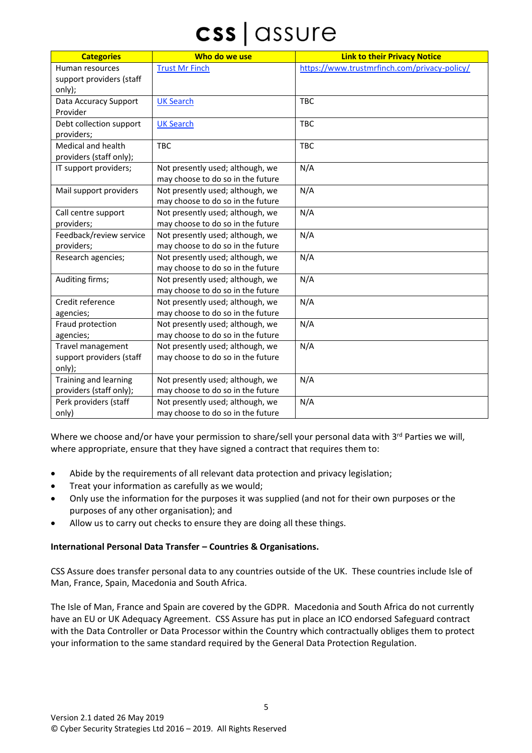| <b>Categories</b>         | Who do we use                     | <b>Link to their Privacy Notice</b>          |
|---------------------------|-----------------------------------|----------------------------------------------|
| Human resources           | <b>Trust Mr Finch</b>             | https://www.trustmrfinch.com/privacy-policy/ |
| support providers (staff  |                                   |                                              |
| only);                    |                                   |                                              |
| Data Accuracy Support     | <b>UK Search</b>                  | <b>TBC</b>                                   |
| Provider                  |                                   |                                              |
| Debt collection support   | <b>UK Search</b>                  | <b>TBC</b>                                   |
| providers;                |                                   |                                              |
| <b>Medical and health</b> | <b>TBC</b>                        | <b>TBC</b>                                   |
| providers (staff only);   |                                   |                                              |
| IT support providers;     | Not presently used; although, we  | N/A                                          |
|                           | may choose to do so in the future |                                              |
| Mail support providers    | Not presently used; although, we  | N/A                                          |
|                           | may choose to do so in the future |                                              |
| Call centre support       | Not presently used; although, we  | N/A                                          |
| providers;                | may choose to do so in the future |                                              |
| Feedback/review service   | Not presently used; although, we  | N/A                                          |
| providers;                | may choose to do so in the future |                                              |
| Research agencies;        | Not presently used; although, we  | N/A                                          |
|                           | may choose to do so in the future |                                              |
| Auditing firms;           | Not presently used; although, we  | N/A                                          |
|                           | may choose to do so in the future |                                              |
| Credit reference          | Not presently used; although, we  | N/A                                          |
| agencies;                 | may choose to do so in the future |                                              |
| Fraud protection          | Not presently used; although, we  | N/A                                          |
| agencies;                 | may choose to do so in the future |                                              |
| Travel management         | Not presently used; although, we  | N/A                                          |
| support providers (staff  | may choose to do so in the future |                                              |
| only);                    |                                   |                                              |
| Training and learning     | Not presently used; although, we  | N/A                                          |
| providers (staff only);   | may choose to do so in the future |                                              |
| Perk providers (staff     | Not presently used; although, we  | N/A                                          |
| only)                     | may choose to do so in the future |                                              |

Where we choose and/or have your permission to share/sell your personal data with  $3^{rd}$  Parties we will, where appropriate, ensure that they have signed a contract that requires them to:

- Abide by the requirements of all relevant data protection and privacy legislation;
- Treat your information as carefully as we would;
- Only use the information for the purposes it was supplied (and not for their own purposes or the purposes of any other organisation); and
- Allow us to carry out checks to ensure they are doing all these things.

### **International Personal Data Transfer – Countries & Organisations.**

CSS Assure does transfer personal data to any countries outside of the UK. These countries include Isle of Man, France, Spain, Macedonia and South Africa.

The Isle of Man, France and Spain are covered by the GDPR. Macedonia and South Africa do not currently have an EU or UK Adequacy Agreement. CSS Assure has put in place an ICO endorsed Safeguard contract with the Data Controller or Data Processor within the Country which contractually obliges them to protect your information to the same standard required by the General Data Protection Regulation.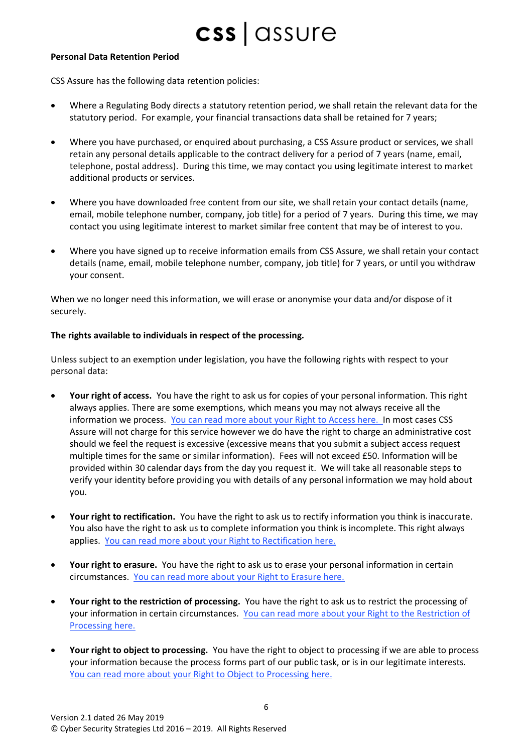### **Personal Data Retention Period**

CSS Assure has the following data retention policies:

- Where a Regulating Body directs a statutory retention period, we shall retain the relevant data for the statutory period. For example, your financial transactions data shall be retained for 7 years;
- Where you have purchased, or enquired about purchasing, a CSS Assure product or services, we shall retain any personal details applicable to the contract delivery for a period of 7 years (name, email, telephone, postal address). During this time, we may contact you using legitimate interest to market additional products or services.
- Where you have downloaded free content from our site, we shall retain your contact details (name, email, mobile telephone number, company, job title) for a period of 7 years. During this time, we may contact you using legitimate interest to market similar free content that may be of interest to you.
- Where you have signed up to receive information emails from CSS Assure, we shall retain your contact details (name, email, mobile telephone number, company, job title) for 7 years, or until you withdraw your consent.

When we no longer need this information, we will erase or anonymise your data and/or dispose of it securely.

### **The rights available to individuals in respect of the processing.**

Unless subject to an exemption under legislation, you have the following rights with respect to your personal data:

- **Your right of access.** You have the right to ask us for copies of your personal information. This right always applies. There are some exemptions, which means you may not always receive all the information we process. [You can read more about your Right to Access](https://ico.org.uk/your-data-matters/your-right-of-access/) here. In most cases CSS Assure will not charge for this service however we do have the right to charge an administrative cost should we feel the request is excessive (excessive means that you submit a subject access request multiple times for the same or similar information). Fees will not exceed £50. Information will be provided within 30 calendar days from the day you request it. We will take all reasonable steps to verify your identity before providing you with details of any personal information we may hold about you.
- **Your right to rectification.** You have the right to ask us to rectify information you think is inaccurate. You also have the right to ask us to complete information you think is incomplete. This right always applies. You can read more about your Right to Rectification here.
- **Your right to erasure.** You have the right to ask us to erase your personal information in certain circumstances. You can read more about your Right to Erasure here.
- **Your right to the restriction of processing.** You have the right to ask us to restrict the processing of your information in certain circumstances. You can read more about your Right to the Restriction of Processing here.
- **Your right to object to processing.** You have the right to object to processing if we are able to process your information because the process forms part of our public task, or is in our legitimate interests. You can read more about your Right to Object to Processing here.

6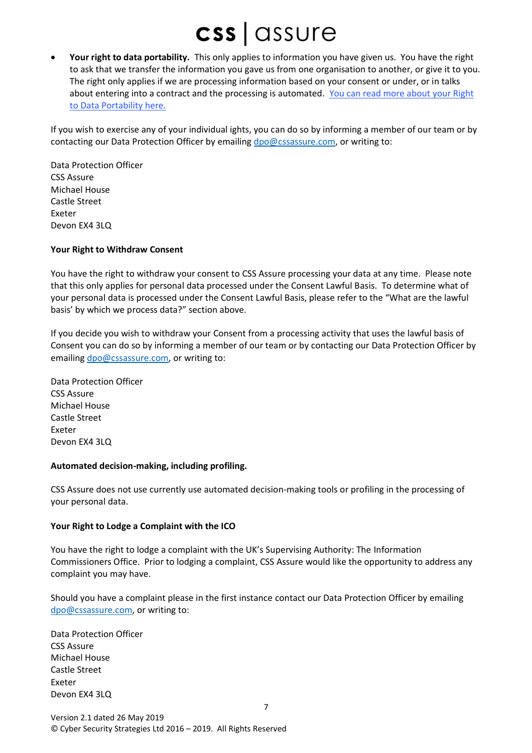• **Your right to data portability.** This only applies to information you have given us. You have the right to ask that we transfer the information you gave us from one organisation to another, or give it to you. The right only applies if we are processing information based on your consent or under, or in talks about entering into a contract and the processing is automated. You can read more about your Right to Data Portability here.

If you wish to exercise any of your individual ights, you can do so by informing a member of our team or by contacting our Data Protection Officer by emailin[g dpo@cssassure.com,](mailto:dpo@cssassure.com) or writing to:

Data Protection Officer CSS Assure Michael House Castle Street Exeter Devon EX4 3LQ

### **Your Right to Withdraw Consent**

You have the right to withdraw your consent to CSS Assure processing your data at any time. Please note that this only applies for personal data processed under the Consent Lawful Basis. To determine what of your personal data is processed under the Consent Lawful Basis, please refer to the "What are the lawful basis' by which we process data?" section above.

If you decide you wish to withdraw your Consent from a processing activity that uses the lawful basis of Consent you can do so by informing a member of our team or by contacting our Data Protection Officer by emailing [dpo@cssassure.com,](mailto:dpo@cssassure.com) or writing to:

Data Protection Officer CSS Assure Michael House Castle Street Exeter Devon EX4 3LQ

#### **Automated decision-making, including profiling.**

CSS Assure does not use currently use automated decision-making tools or profiling in the processing of your personal data.

### **Your Right to Lodge a Complaint with the ICO**

You have the right to lodge a complaint with the UK's Supervising Authority: The Information Commissioners Office. Prior to lodging a complaint, CSS Assure would like the opportunity to address any complaint you may have.

Should you have a complaint please in the first instance contact our Data Protection Officer by emailing [dpo@cssassure.com,](mailto:dpo@cssassure.com) or writing to:

7

Data Protection Officer CSS Assure Michael House Castle Street Exeter Devon EX4 3LQ